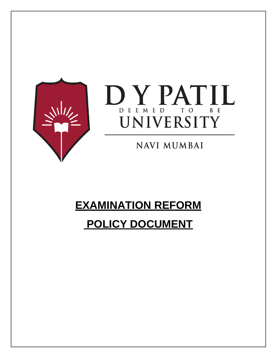



**NAVI MUMBAI** 

# **EXAMINATION REFORM**

# **POLICY DOCUMENT**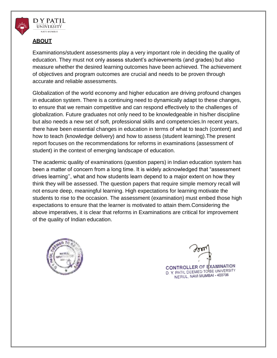

#### **ABOUT**

Examinations/student assessments play a very important role in deciding the quality of education. They must not only assess student's achievements (and grades) but also measure whether the desired learning outcomes have been achieved. The achievement of objectives and program outcomes are crucial and needs to be proven through accurate and reliable assessments.

Globalization of the world economy and higher education are driving profound changes in education system. There is a continuing need to dynamically adapt to these changes, to ensure that we remain competitive and can respond effectively to the challenges of globalization. Future graduates not only need to be knowledgeable in his/her discipline but also needs a new set of soft, professional skills and competencies.In recent years, there have been essential changes in education in terms of what to teach (content) and how to teach (knowledge delivery) and how to assess (student learning).The present report focuses on the recommendations for reforms in examinations (assessment of student) in the context of emerging landscape of education.

The academic quality of examinations (question papers) in Indian education system has been a matter of concern from a long time. It is widely acknowledged that "assessment drives learning'', what and how students learn depend to a major extent on how they think they will be assessed. The question papers that require simple memory recall will not ensure deep, meaningful learning. High expectations for learning motivate the students to rise to the occasion. The assessment (examination) must embed those high expectations to ensure that the learner is motivated to attain them.Considering the above imperatives, it is clear that reforms in Examinations are critical for improvement of the quality of Indian education.



CONTROLLER OF EXAMINATION D. Y. PATIL DEEMED TO BE UNIVERSITY NERUL, NAVI MUMBAI - 400706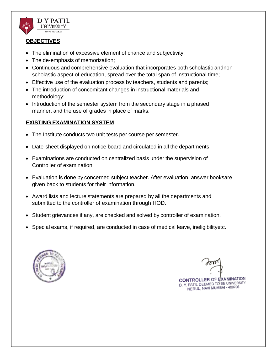

#### **OBJECTIVES**

- The elimination of excessive element of chance and subjectivity;
- The de-emphasis of memorization;
- Continuous and comprehensive evaluation that incorporates both scholastic andnonscholastic aspect of education, spread over the total span of instructional time;
- Effective use of the evaluation process by teachers, students and parents;
- The introduction of concomitant changes in instructional materials and methodology;
- Introduction of the semester system from the secondary stage in a phased manner, and the use of grades in place of marks.

## **EXISTING EXAMINATION SYSTEM**

- The Institute conducts two unit tests per course per semester.
- Date-sheet displayed on notice board and circulated in all the departments.
- Examinations are conducted on centralized basis under the supervision of Controller of examination.
- Evaluation is done by concerned subject teacher. After evaluation, answer booksare given back to students for their information.
- Award lists and lecture statements are prepared by all the departments and submitted to the controller of examination through HOD.
- Student grievances if any, are checked and solved by controller of examination.
- Special exams, if required, are conducted in case of medical leave, ineligibilityetc.



CONTROLLER OF EXAMINATION D. Y. PATIL DEEMED TO BE UNIVERSITY NERUL, NAVI MUMBAI - 400706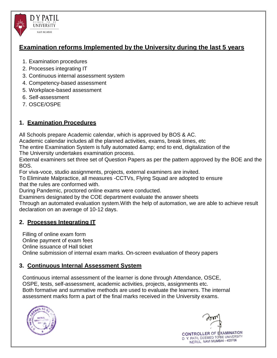

# **Examination reforms Implemented by the University during the last 5 years**

- 1. Examination procedures
- 2. Processes integrating IT
- 3. Continuous internal assessment system
- 4. Competency-based assessment
- 5. Workplace-based assessment
- 6. Self-assessment
- 7. OSCE/OSPE

# **1. Examination Procedures**

All Schools prepare Academic calendar, which is approved by BOS & AC.

Academic calendar includes all the planned activities, exams, break times, etc

The entire Examination System is fully automated & amp; end to end, digitalization of the

The University undertakes examination process.

External examiners set three set of Question Papers as per the pattern approved by the BOE and the BOS.

For viva-voce, studio assignments, projects, external examiners are invited.

To Eliminate Malpractice, all measures -CCTVs, Flying Squad are adopted to ensure that the rules are conformed with.

During Pandemic, proctored online exams were conducted.

Examiners designated by the COE department evaluate the answer sheets

Through an automated evaluation system.With the help of automation, we are able to achieve result declaration on an average of 10-12 days.

# **2. Processes Integrating IT**

Filling of online exam form

Online payment of exam fees

Online issuance of Hall ticket

Online submission of internal exam marks. On-screen evaluation of theory papers

# **3. Continuous Internal Assessment System**

Continuous internal assessment of the learner is done through Attendance, OSCE, OSPE, tests, self-assessment, academic activities, projects, assignments etc. Both formative and summative methods are used to evaluate the learners. The internal assessment marks form a part of the final marks received in the University exams.



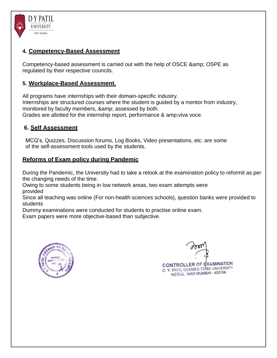

## **4. Competency-Based Assessment**

Competency-based assessment is carried out with the help of OSCE & amp; OSPE as regulated by their respective councils.

## **5. Workplace-Based Assessment.**

All programs have internships with their domain-specific industry. Internships are structured courses where the student is guided by a mentor from industry, monitored by faculty members, & amp; assessed by both. Grades are allotted for the internship report, performance & amp;viva voce.

## **6. Self Assessment**

MCQ's, Quizzes, Discussion forums, Log Books, Video presentations, etc. are some of the self-assessment tools used by the students.

## **Reforms of Exam policy during Pandemic**

During the Pandemic, the University had to take a relook at the examination policy to reformit as per the changing needs of the time.

Owing to some students being in low network areas, two exam attempts were provided

Since all teaching was online (For non-health sciences schools), question banks were provided to students

Dummy examinations were conducted for students to practise online exam.

Exam papers were more objective-based than subjective.



CONTROLLER OF EXAMINATION D. Y. PATIL DEEMED TO BE UNIVERSITY NERUL, NAVI MUMBAI - 400706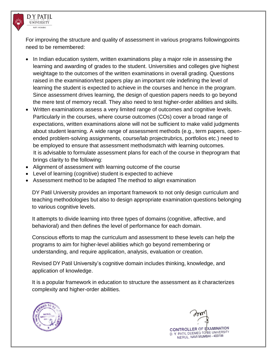

For improving the structure and quality of assessment in various programs followingpoints need to be remembered:

- In Indian education system, written examinations play a major role in assessing the learning and awarding of grades to the student. Universities and colleges give highest weightage to the outcomes of the written examinations in overall grading. Questions raised in the examination/test papers play an important role indefining the level of learning the student is expected to achieve in the courses and hence in the program. Since assessment drives learning, the design of question papers needs to go beyond the mere test of memory recall. They also need to test higher-order abilities and skills.
- Written examinations assess a very limited range of outcomes and cognitive levels. Particularly in the courses, where course outcomes (COs) cover a broad range of expectations, written examinations alone will not be sufficient to make valid judgments about student learning. A wide range of assessment methods (e.g., term papers, openended problem-solving assignments, course/lab projectrubrics, portfolios etc.) need to be employed to ensure that assessment methodsmatch with learning outcomes. It is advisable to formulate assessment plans for each of the course in theprogram that brings clarity to the following:
- Alignment of assessment with learning outcome of the course
- Level of learning (cognitive) student is expected to achieve
- Assessment method to be adapted The method to align examination

DY Patil University provides an important framework to not only design curriculum and teaching methodologies but also to design appropriate examination questions belonging to various cognitive levels.

It attempts to divide learning into three types of domains (cognitive, affective, and behavioral) and then defines the level of performance for each domain.

Conscious efforts to map the curriculum and assessment to these levels can help the programs to aim for higher-level abilities which go beyond remembering or understanding, and require application, analysis, evaluation or creation.

Revised DY Patil University's cognitive domain includes thinking, knowledge, and application of knowledge.

It is a popular framework in education to structure the assessment as it characterizes complexity and higher-order abilities.



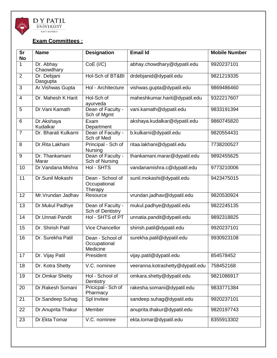

## **Exam Committees :**

| <b>Sr</b><br>No | <b>Name</b>             | <b>Designation</b>                           | <b>Email Id</b>                  | <b>Mobile Number</b> |
|-----------------|-------------------------|----------------------------------------------|----------------------------------|----------------------|
| 1               | Dr. Abhay<br>Chaowdhary | CoE (I/C)                                    | abhay.chowdhary@dypatil.edu      | 9920237101           |
| $\overline{2}$  | Dr. Debjani<br>Dasgupta | Hol-Sch of BT&BI                             | drdebjanid@dypatil.edu           | 9821219335           |
| 3               | Ar. Vishwas Gupta       | Hol - Architecture                           | vishwas.gupta@dypatil.edu        | 9869486460           |
| $\overline{4}$  | Dr. Mahesh K Harit      | Hol-Sch of<br>ayurveda                       | maheshkumar.harit@dypatil.edu    | 9322217607           |
| 5               | Dr. Vani Kamath         | Dean of Faculty -<br>Sch of Mgmt             | vani.kamath@dypatil.edu          | 9833191394           |
| 6               | Dr.Akshaya<br>Kudalkar  | Exam<br>Department                           | akshaya.kudalkar@dypatil.edu     | 9860745820           |
| $\overline{7}$  | Dr. Bharati Kulkarni    | Dean of Faculty -<br>Sch of Med              | b.kulkarni@dypatil.edu           | 9820554431           |
| 8               | Dr.Rita Lakhani         | Principal - Sch of<br><b>Nursing</b>         | ritaa.lakhani@dypatil.edu        | 7738200527           |
| 9               | Dr. Thankamani<br>Marar | Dean of Faculty -<br>Sch of Nursing          | thankamani.marar@dypatil.edu     | 9892455625           |
| 10              | Dr. Vandana Mishra      | Hol - SHTS                                   | vandanamishra.c@dypatil.edu      | 9773210006           |
| $\overline{11}$ | Dr.Sunil Mokashi        | Dean - School of<br>Occupational<br>Therapy  | sunil.mokashi@dypatil.edu        | 9423475015           |
| 12              | Mr. Vrundan Jadhav      | Resource                                     | vrundan.jadhav@dypatil.edu       | 9820530924           |
| 13              | Dr.Mukul Padhye         | Dean of Faculty -<br>Sch of Dentistry        | mukul.padhye@dypatil.edu         | 9822245135           |
| 14              | Dr.Unnati Pandit        | Hol - SHTS of PT                             | unnatia.pandit@dypatil.edu       | 9892318825           |
| 15              | Dr. Shirish Patil       | Vice Chancellor                              | shirish.patil@dypatil.edu        | 9920237101           |
| 16              | Dr. Surekha Patil       | Dean - School of<br>Occupational<br>Medicine | surekha.patil@dypatil.edu        | 9930923108           |
| 17              | Dr. Vijay Patil         | President                                    | vijay.patil@dypatil.edu          | 854578452            |
| 18              | Dr. Kotra Shetty        | V.C. nominee                                 | veeranna.kotrashetty@dypatil.edu | 758452168            |
| 19              | Dr.Omkar Shetty         | Hol - School of<br>Dentistry                 | omkara.shetty@dypatil.edu        | 9821086917           |
| 20              | Dr.Rakesh Somani        | Pricicpal - Sch of<br>Pharmacy               | rakesha.somani@dypatil.edu       | 9833771384           |
| 21              | Dr.Sandeep Suhag        | Spl invitee                                  | sandeep.suhag@dypatil.edu        | 9920237101           |
| 22              | Dr. Anuprita Thakur     | Member                                       | anuprita.thakur@dypatil.edu      | 9820197743           |
| 23              | Dr.Ekta Tomar           | V.C. nominee                                 | ekta.tomar@dypatil.edu           | 8355913302           |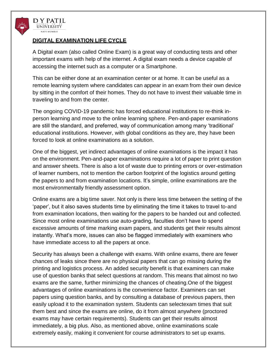

#### **DIGITAL EXAMINATION LIFE CYCLE**

A Digital exam (also called [Online E](https://en.wikipedia.org/wiki/EExam)xam) is a great way of conducting tests and other important exams with help of the internet. A digital exam needs a device capable of accessing the internet such as a computer or a Smartphone.

This can be either done at an examination center or at home. It can be useful as a remote learning system where candidates can appear in an exam from their own device by sitting in the comfort of their homes. They do not have to invest their valuable time in traveling to and from the center.

The ongoing COVID-19 pandemic has forced educational institutions to re-think inperson learning and move to the online learning sphere. Pen-and-paper examinations are still the standard, and preferred, way of communication among many 'traditional' educational institutions. However, with global conditions as they are, they have been forced to look at online examinations as a solution.

One of the biggest, yet indirect advantages of online examinations is the impact it has on the environment. Pen-and-paper examinations require a lot of paper to print question and answer sheets. There is also a lot of waste due to printing errors or over-estimation of learner numbers, not to mention the carbon footprint of the logistics around getting the papers to and from examination locations. It's simple, online examinations are the most environmentally friendly assessment option.

Online exams are a big time saver. Not only is there less time between the setting of the 'paper', but it also saves students time by eliminating the time it takes to travel to-and from examination locations, then waiting for the papers to be handed out and collected. Since most online examinations use auto-grading, faculties don't have to spend excessive amounts of time marking exam papers, and students get their results almost instantly. What's more, issues can also be flagged immediately with examiners who have immediate access to all the papers at once.

Security has always been a challenge with exams. With online exams, there are fewer chances of leaks since there are no physical papers that can go missing during the printing and logistics process. An added security benefit is that examiners can make use of question banks that select questions at random. This means that almost no two exams are the same, further minimizing the chances of cheating.One of the biggest advantages of online examinations is the convenience factor. Examiners can set papers using question banks, and by consulting a database of previous papers, then easily upload it to the examination system. Students can selectexam times that suit them best and since the exams are online, do it from almost anywhere (proctored exams may have certain requirements). Students can get their results almost immediately, a big plus. Also, as mentioned above, online examinations scale extremely easily, making it convenient for course administrators to set up exams.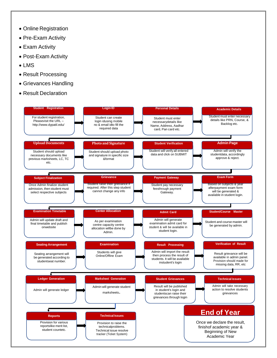- Online Registration
- Pre-Exam Activity
- Exam Activity
- Post-Exam Activity
- LMS
- Result Processing
- Grievances Handling
- Result Declaration

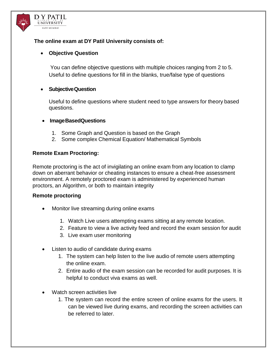

#### **The online exam at DY Patil University consists of:**

#### **Objective Question**

You can define objective questions with multiple choices ranging from 2 to 5. Useful to define questions for fill in the blanks, true/false type of questions

#### **SubjectiveQuestion**

Useful to define questions where student need to type answers for theory based questions.

#### **ImageBasedQuestions**

- 1. Some Graph and Question is based on the Graph
- 2. Some complex Chemical Equation/ Mathematical Symbols

#### **Remote Exam Proctoring:**

Remote proctoring is the act of invigilating an online exam from any location to clamp down on aberrant behavior or cheating instances to ensure a cheat-free assessment environment. A remotely proctored exam is administered by experienced human proctors, an Algorithm, or both to maintain integrity

#### **Remote proctoring**

- Monitor live streaming during online exams
	- 1. Watch Live users attempting exams sitting at any remote location.
	- 2. Feature to view a live activity feed and record the exam session for audit
	- 3. Live exam user monitoring
- Listen to audio of candidate during exams
	- 1. The system can help listen to the live audio of remote users attempting the online exam.
	- 2. Entire audio of the exam session can be recorded for audit purposes. It is helpful to conduct viva exams as well.
- Watch screen activities live
	- 1. The system can record the entire screen of online exams for the users. It can be viewed live during exams, and recording the screen activities can be referred to later.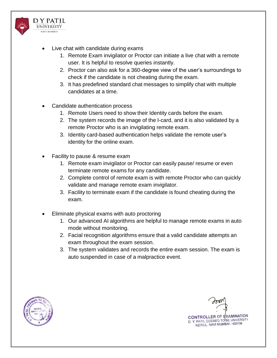

- Live chat with candidate during exams
	- 1. Remote Exam invigilator or Proctor can initiate a live chat with a remote user. It is helpful to resolve queries instantly.
	- 2. Proctor can also ask for a 360-degree view of the user's surroundings to check if the candidate is not cheating during the exam.
	- 3. It has predefined standard chat messages to simplify chat with multiple candidates at a time.
- Candidate authentication process
	- 1. Remote Users need to show their Identity cards before the exam.
	- 2. The system records the image of the I-card, and it is also validated by a remote Proctor who is an invigilating remote exam.
	- 3. Identity card-based authentication helps validate the remote user's identity for the online exam.
- Facility to pause & resume exam
	- 1. Remote exam invigilator or Proctor can easily pause/ resume or even terminate remote exams for any candidate.
	- 2. Complete control of remote exam is with remote Proctor who can quickly validate and manage remote exam invigilator.
	- 3. Facility to terminate exam if the candidate is found cheating during the exam.
- Eliminate physical exams with auto proctoring
	- 1. Our advanced AI algorithms are helpful to manage remote exams in auto mode without monitoring.
	- 2. Facial recognition algorithms ensure that a valid candidate attempts an exam throughout the exam session.
	- 3. The system validates and records the entire exam session. The exam is auto suspended in case of a malpractice event.